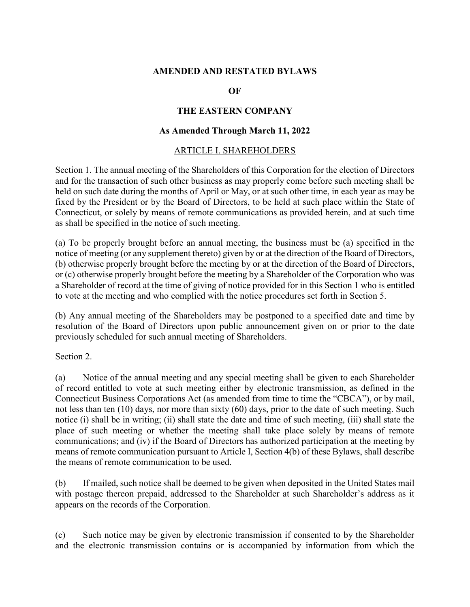#### **AMENDED AND RESTATED BYLAWS**

### **OF**

### **THE EASTERN COMPANY**

### **As Amended Through March 11, 2022**

#### ARTICLE I. SHAREHOLDERS

Section 1. The annual meeting of the Shareholders of this Corporation for the election of Directors and for the transaction of such other business as may properly come before such meeting shall be held on such date during the months of April or May, or at such other time, in each year as may be fixed by the President or by the Board of Directors, to be held at such place within the State of Connecticut, or solely by means of remote communications as provided herein, and at such time as shall be specified in the notice of such meeting.

(a) To be properly brought before an annual meeting, the business must be (a) specified in the notice of meeting (or any supplement thereto) given by or at the direction of the Board of Directors, (b) otherwise properly brought before the meeting by or at the direction of the Board of Directors, or (c) otherwise properly brought before the meeting by a Shareholder of the Corporation who was a Shareholder of record at the time of giving of notice provided for in this Section 1 who is entitled to vote at the meeting and who complied with the notice procedures set forth in Section 5.

(b) Any annual meeting of the Shareholders may be postponed to a specified date and time by resolution of the Board of Directors upon public announcement given on or prior to the date previously scheduled for such annual meeting of Shareholders.

Section 2.

(a) Notice of the annual meeting and any special meeting shall be given to each Shareholder of record entitled to vote at such meeting either by electronic transmission, as defined in the Connecticut Business Corporations Act (as amended from time to time the "CBCA"), or by mail, not less than ten (10) days, nor more than sixty (60) days, prior to the date of such meeting. Such notice (i) shall be in writing; (ii) shall state the date and time of such meeting, (iii) shall state the place of such meeting or whether the meeting shall take place solely by means of remote communications; and (iv) if the Board of Directors has authorized participation at the meeting by means of remote communication pursuant to Article I, Section 4(b) of these Bylaws, shall describe the means of remote communication to be used.

(b) If mailed, such notice shall be deemed to be given when deposited in the United States mail with postage thereon prepaid, addressed to the Shareholder at such Shareholder's address as it appears on the records of the Corporation.

(c) Such notice may be given by electronic transmission if consented to by the Shareholder and the electronic transmission contains or is accompanied by information from which the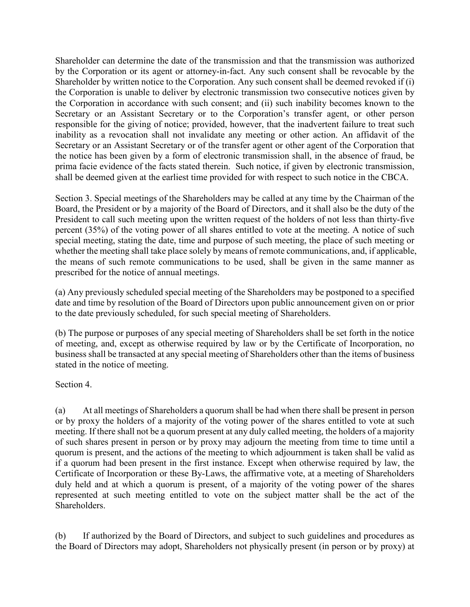Shareholder can determine the date of the transmission and that the transmission was authorized by the Corporation or its agent or attorney-in-fact. Any such consent shall be revocable by the Shareholder by written notice to the Corporation. Any such consent shall be deemed revoked if (i) the Corporation is unable to deliver by electronic transmission two consecutive notices given by the Corporation in accordance with such consent; and (ii) such inability becomes known to the Secretary or an Assistant Secretary or to the Corporation's transfer agent, or other person responsible for the giving of notice; provided, however, that the inadvertent failure to treat such inability as a revocation shall not invalidate any meeting or other action. An affidavit of the Secretary or an Assistant Secretary or of the transfer agent or other agent of the Corporation that the notice has been given by a form of electronic transmission shall, in the absence of fraud, be prima facie evidence of the facts stated therein. Such notice, if given by electronic transmission, shall be deemed given at the earliest time provided for with respect to such notice in the CBCA.

Section 3. Special meetings of the Shareholders may be called at any time by the Chairman of the Board, the President or by a majority of the Board of Directors, and it shall also be the duty of the President to call such meeting upon the written request of the holders of not less than thirty-five percent (35%) of the voting power of all shares entitled to vote at the meeting. A notice of such special meeting, stating the date, time and purpose of such meeting, the place of such meeting or whether the meeting shall take place solely by means of remote communications, and, if applicable, the means of such remote communications to be used, shall be given in the same manner as prescribed for the notice of annual meetings.

(a) Any previously scheduled special meeting of the Shareholders may be postponed to a specified date and time by resolution of the Board of Directors upon public announcement given on or prior to the date previously scheduled, for such special meeting of Shareholders.

(b) The purpose or purposes of any special meeting of Shareholders shall be set forth in the notice of meeting, and, except as otherwise required by law or by the Certificate of Incorporation, no business shall be transacted at any special meeting of Shareholders other than the items of business stated in the notice of meeting.

Section 4.

(a) At all meetings of Shareholders a quorum shall be had when there shall be present in person or by proxy the holders of a majority of the voting power of the shares entitled to vote at such meeting. If there shall not be a quorum present at any duly called meeting, the holders of a majority of such shares present in person or by proxy may adjourn the meeting from time to time until a quorum is present, and the actions of the meeting to which adjournment is taken shall be valid as if a quorum had been present in the first instance. Except when otherwise required by law, the Certificate of Incorporation or these By-Laws, the affirmative vote, at a meeting of Shareholders duly held and at which a quorum is present, of a majority of the voting power of the shares represented at such meeting entitled to vote on the subject matter shall be the act of the Shareholders.

(b) If authorized by the Board of Directors, and subject to such guidelines and procedures as the Board of Directors may adopt, Shareholders not physically present (in person or by proxy) at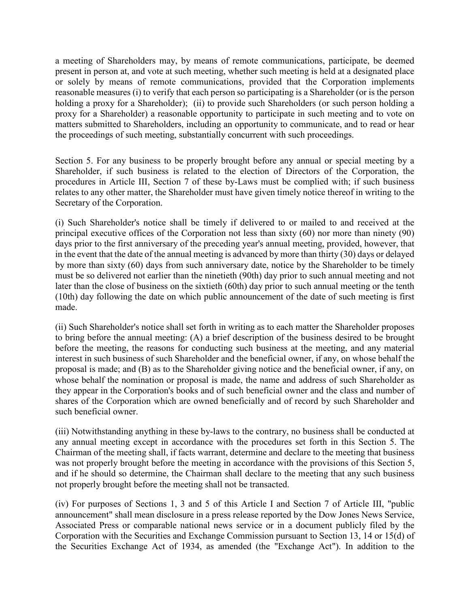a meeting of Shareholders may, by means of remote communications, participate, be deemed present in person at, and vote at such meeting, whether such meeting is held at a designated place or solely by means of remote communications, provided that the Corporation implements reasonable measures (i) to verify that each person so participating is a Shareholder (or is the person holding a proxy for a Shareholder); (ii) to provide such Shareholders (or such person holding a proxy for a Shareholder) a reasonable opportunity to participate in such meeting and to vote on matters submitted to Shareholders, including an opportunity to communicate, and to read or hear the proceedings of such meeting, substantially concurrent with such proceedings.

Section 5. For any business to be properly brought before any annual or special meeting by a Shareholder, if such business is related to the election of Directors of the Corporation, the procedures in Article III, Section 7 of these by-Laws must be complied with; if such business relates to any other matter, the Shareholder must have given timely notice thereof in writing to the Secretary of the Corporation.

(i) Such Shareholder's notice shall be timely if delivered to or mailed to and received at the principal executive offices of the Corporation not less than sixty (60) nor more than ninety (90) days prior to the first anniversary of the preceding year's annual meeting, provided, however, that in the event that the date of the annual meeting is advanced by more than thirty (30) days or delayed by more than sixty (60) days from such anniversary date, notice by the Shareholder to be timely must be so delivered not earlier than the ninetieth (90th) day prior to such annual meeting and not later than the close of business on the sixtieth (60th) day prior to such annual meeting or the tenth (10th) day following the date on which public announcement of the date of such meeting is first made.

(ii) Such Shareholder's notice shall set forth in writing as to each matter the Shareholder proposes to bring before the annual meeting: (A) a brief description of the business desired to be brought before the meeting, the reasons for conducting such business at the meeting, and any material interest in such business of such Shareholder and the beneficial owner, if any, on whose behalf the proposal is made; and (B) as to the Shareholder giving notice and the beneficial owner, if any, on whose behalf the nomination or proposal is made, the name and address of such Shareholder as they appear in the Corporation's books and of such beneficial owner and the class and number of shares of the Corporation which are owned beneficially and of record by such Shareholder and such beneficial owner.

(iii) Notwithstanding anything in these by-laws to the contrary, no business shall be conducted at any annual meeting except in accordance with the procedures set forth in this Section 5. The Chairman of the meeting shall, if facts warrant, determine and declare to the meeting that business was not properly brought before the meeting in accordance with the provisions of this Section 5, and if he should so determine, the Chairman shall declare to the meeting that any such business not properly brought before the meeting shall not be transacted.

(iv) For purposes of Sections 1, 3 and 5 of this Article I and Section 7 of Article III, "public announcement" shall mean disclosure in a press release reported by the Dow Jones News Service, Associated Press or comparable national news service or in a document publicly filed by the Corporation with the Securities and Exchange Commission pursuant to Section 13, 14 or 15(d) of the Securities Exchange Act of 1934, as amended (the "Exchange Act"). In addition to the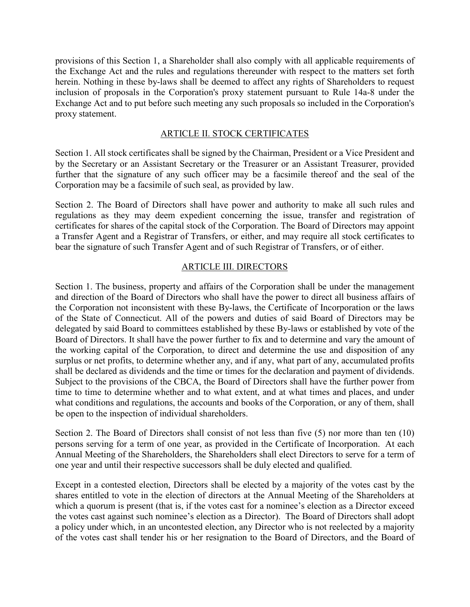provisions of this Section 1, a Shareholder shall also comply with all applicable requirements of the Exchange Act and the rules and regulations thereunder with respect to the matters set forth herein. Nothing in these by-laws shall be deemed to affect any rights of Shareholders to request inclusion of proposals in the Corporation's proxy statement pursuant to Rule 14a-8 under the Exchange Act and to put before such meeting any such proposals so included in the Corporation's proxy statement.

### ARTICLE II. STOCK CERTIFICATES

Section 1. All stock certificates shall be signed by the Chairman, President or a Vice President and by the Secretary or an Assistant Secretary or the Treasurer or an Assistant Treasurer, provided further that the signature of any such officer may be a facsimile thereof and the seal of the Corporation may be a facsimile of such seal, as provided by law.

Section 2. The Board of Directors shall have power and authority to make all such rules and regulations as they may deem expedient concerning the issue, transfer and registration of certificates for shares of the capital stock of the Corporation. The Board of Directors may appoint a Transfer Agent and a Registrar of Transfers, or either, and may require all stock certificates to bear the signature of such Transfer Agent and of such Registrar of Transfers, or of either.

#### ARTICLE III. DIRECTORS

Section 1. The business, property and affairs of the Corporation shall be under the management and direction of the Board of Directors who shall have the power to direct all business affairs of the Corporation not inconsistent with these By-laws, the Certificate of Incorporation or the laws of the State of Connecticut. All of the powers and duties of said Board of Directors may be delegated by said Board to committees established by these By-laws or established by vote of the Board of Directors. It shall have the power further to fix and to determine and vary the amount of the working capital of the Corporation, to direct and determine the use and disposition of any surplus or net profits, to determine whether any, and if any, what part of any, accumulated profits shall be declared as dividends and the time or times for the declaration and payment of dividends. Subject to the provisions of the CBCA, the Board of Directors shall have the further power from time to time to determine whether and to what extent, and at what times and places, and under what conditions and regulations, the accounts and books of the Corporation, or any of them, shall be open to the inspection of individual shareholders.

Section 2. The Board of Directors shall consist of not less than five (5) nor more than ten (10) persons serving for a term of one year, as provided in the Certificate of Incorporation. At each Annual Meeting of the Shareholders, the Shareholders shall elect Directors to serve for a term of one year and until their respective successors shall be duly elected and qualified.

Except in a contested election, Directors shall be elected by a majority of the votes cast by the shares entitled to vote in the election of directors at the Annual Meeting of the Shareholders at which a quorum is present (that is, if the votes cast for a nominee's election as a Director exceed the votes cast against such nominee's election as a Director). The Board of Directors shall adopt a policy under which, in an uncontested election, any Director who is not reelected by a majority of the votes cast shall tender his or her resignation to the Board of Directors, and the Board of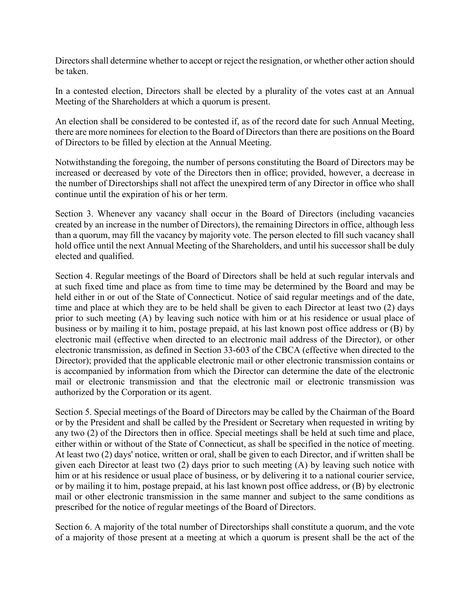Directors shall determine whether to accept or reject the resignation, or whether other action should be taken.

In a contested election, Directors shall be elected by a plurality of the votes cast at an Annual Meeting of the Shareholders at which a quorum is present.

An election shall be considered to be contested if, as of the record date for such Annual Meeting, there are more nominees for election to the Board of Directors than there are positions on the Board of Directors to be filled by election at the Annual Meeting.

Notwithstanding the foregoing, the number of persons constituting the Board of Directors may be increased or decreased by vote of the Directors then in office; provided, however, a decrease in the number of Directorships shall not affect the unexpired term of any Director in office who shall continue until the expiration of his or her term.

Section 3. Whenever any vacancy shall occur in the Board of Directors (including vacancies created by an increase in the number of Directors), the remaining Directors in office, although less than a quorum, may fill the vacancy by majority vote. The person elected to fill such vacancy shall hold office until the next Annual Meeting of the Shareholders, and until his successor shall be duly elected and qualified.

Section 4. Regular meetings of the Board of Directors shall be held at such regular intervals and at such fixed time and place as from time to time may be determined by the Board and may be held either in or out of the State of Connecticut. Notice of said regular meetings and of the date, time and place at which they are to be held shall be given to each Director at least two (2) days prior to such meeting (A) by leaving such notice with him or at his residence or usual place of business or by mailing it to him, postage prepaid, at his last known post office address or (B) by electronic mail (effective when directed to an electronic mail address of the Director), or other electronic transmission, as defined in Section 33-603 of the CBCA (effective when directed to the Director); provided that the applicable electronic mail or other electronic transmission contains or is accompanied by information from which the Director can determine the date of the electronic mail or electronic transmission and that the electronic mail or electronic transmission was authorized by the Corporation or its agent.

Section 5. Special meetings of the Board of Directors may be called by the Chairman of the Board or by the President and shall be called by the President or Secretary when requested in writing by any two (2) of the Directors then in office. Special meetings shall be held at such time and place, either within or without of the State of Connecticut, as shall be specified in the notice of meeting. At least two (2) days' notice, written or oral, shall be given to each Director, and if written shall be given each Director at least two (2) days prior to such meeting (A) by leaving such notice with him or at his residence or usual place of business, or by delivering it to a national courier service, or by mailing it to him, postage prepaid, at his last known post office address, or (B) by electronic mail or other electronic transmission in the same manner and subject to the same conditions as prescribed for the notice of regular meetings of the Board of Directors.

Section 6. A majority of the total number of Directorships shall constitute a quorum, and the vote of a majority of those present at a meeting at which a quorum is present shall be the act of the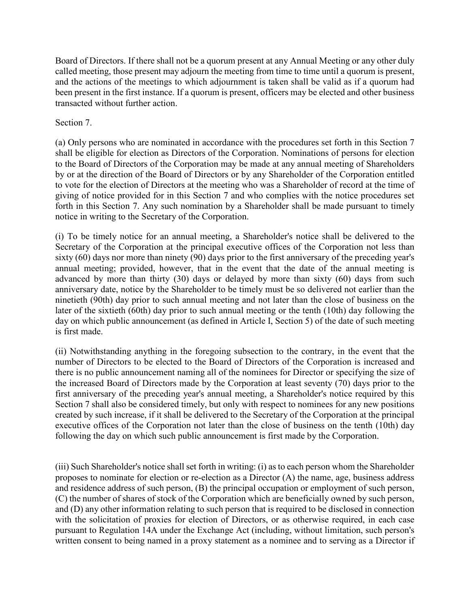Board of Directors. If there shall not be a quorum present at any Annual Meeting or any other duly called meeting, those present may adjourn the meeting from time to time until a quorum is present, and the actions of the meetings to which adjournment is taken shall be valid as if a quorum had been present in the first instance. If a quorum is present, officers may be elected and other business transacted without further action.

### Section 7.

(a) Only persons who are nominated in accordance with the procedures set forth in this Section 7 shall be eligible for election as Directors of the Corporation. Nominations of persons for election to the Board of Directors of the Corporation may be made at any annual meeting of Shareholders by or at the direction of the Board of Directors or by any Shareholder of the Corporation entitled to vote for the election of Directors at the meeting who was a Shareholder of record at the time of giving of notice provided for in this Section 7 and who complies with the notice procedures set forth in this Section 7. Any such nomination by a Shareholder shall be made pursuant to timely notice in writing to the Secretary of the Corporation.

(i) To be timely notice for an annual meeting, a Shareholder's notice shall be delivered to the Secretary of the Corporation at the principal executive offices of the Corporation not less than sixty (60) days nor more than ninety (90) days prior to the first anniversary of the preceding year's annual meeting; provided, however, that in the event that the date of the annual meeting is advanced by more than thirty (30) days or delayed by more than sixty (60) days from such anniversary date, notice by the Shareholder to be timely must be so delivered not earlier than the ninetieth (90th) day prior to such annual meeting and not later than the close of business on the later of the sixtieth (60th) day prior to such annual meeting or the tenth (10th) day following the day on which public announcement (as defined in Article I, Section 5) of the date of such meeting is first made.

(ii) Notwithstanding anything in the foregoing subsection to the contrary, in the event that the number of Directors to be elected to the Board of Directors of the Corporation is increased and there is no public announcement naming all of the nominees for Director or specifying the size of the increased Board of Directors made by the Corporation at least seventy (70) days prior to the first anniversary of the preceding year's annual meeting, a Shareholder's notice required by this Section 7 shall also be considered timely, but only with respect to nominees for any new positions created by such increase, if it shall be delivered to the Secretary of the Corporation at the principal executive offices of the Corporation not later than the close of business on the tenth (10th) day following the day on which such public announcement is first made by the Corporation.

(iii) Such Shareholder's notice shall set forth in writing: (i) as to each person whom the Shareholder proposes to nominate for election or re-election as a Director (A) the name, age, business address and residence address of such person, (B) the principal occupation or employment of such person, (C) the number of shares of stock of the Corporation which are beneficially owned by such person, and (D) any other information relating to such person that is required to be disclosed in connection with the solicitation of proxies for election of Directors, or as otherwise required, in each case pursuant to Regulation 14A under the Exchange Act (including, without limitation, such person's written consent to being named in a proxy statement as a nominee and to serving as a Director if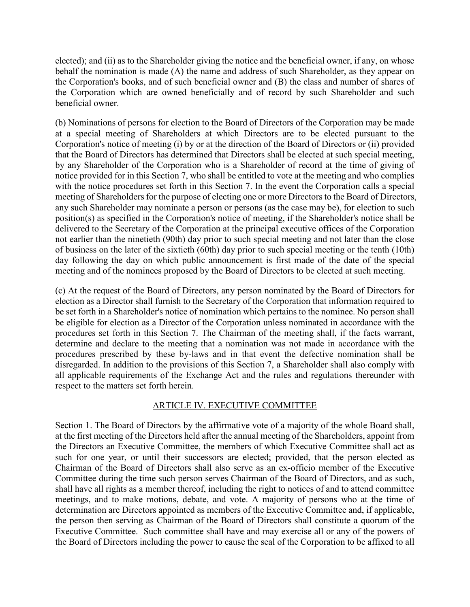elected); and (ii) as to the Shareholder giving the notice and the beneficial owner, if any, on whose behalf the nomination is made (A) the name and address of such Shareholder, as they appear on the Corporation's books, and of such beneficial owner and (B) the class and number of shares of the Corporation which are owned beneficially and of record by such Shareholder and such beneficial owner.

(b) Nominations of persons for election to the Board of Directors of the Corporation may be made at a special meeting of Shareholders at which Directors are to be elected pursuant to the Corporation's notice of meeting (i) by or at the direction of the Board of Directors or (ii) provided that the Board of Directors has determined that Directors shall be elected at such special meeting, by any Shareholder of the Corporation who is a Shareholder of record at the time of giving of notice provided for in this Section 7, who shall be entitled to vote at the meeting and who complies with the notice procedures set forth in this Section 7. In the event the Corporation calls a special meeting of Shareholders for the purpose of electing one or more Directors to the Board of Directors, any such Shareholder may nominate a person or persons (as the case may be), for election to such position(s) as specified in the Corporation's notice of meeting, if the Shareholder's notice shall be delivered to the Secretary of the Corporation at the principal executive offices of the Corporation not earlier than the ninetieth (90th) day prior to such special meeting and not later than the close of business on the later of the sixtieth (60th) day prior to such special meeting or the tenth (10th) day following the day on which public announcement is first made of the date of the special meeting and of the nominees proposed by the Board of Directors to be elected at such meeting.

(c) At the request of the Board of Directors, any person nominated by the Board of Directors for election as a Director shall furnish to the Secretary of the Corporation that information required to be set forth in a Shareholder's notice of nomination which pertains to the nominee. No person shall be eligible for election as a Director of the Corporation unless nominated in accordance with the procedures set forth in this Section 7. The Chairman of the meeting shall, if the facts warrant, determine and declare to the meeting that a nomination was not made in accordance with the procedures prescribed by these by-laws and in that event the defective nomination shall be disregarded. In addition to the provisions of this Section 7, a Shareholder shall also comply with all applicable requirements of the Exchange Act and the rules and regulations thereunder with respect to the matters set forth herein.

#### ARTICLE IV. EXECUTIVE COMMITTEE

Section 1. The Board of Directors by the affirmative vote of a majority of the whole Board shall, at the first meeting of the Directors held after the annual meeting of the Shareholders, appoint from the Directors an Executive Committee, the members of which Executive Committee shall act as such for one year, or until their successors are elected; provided, that the person elected as Chairman of the Board of Directors shall also serve as an ex-officio member of the Executive Committee during the time such person serves Chairman of the Board of Directors, and as such, shall have all rights as a member thereof, including the right to notices of and to attend committee meetings, and to make motions, debate, and vote. A majority of persons who at the time of determination are Directors appointed as members of the Executive Committee and, if applicable, the person then serving as Chairman of the Board of Directors shall constitute a quorum of the Executive Committee. Such committee shall have and may exercise all or any of the powers of the Board of Directors including the power to cause the seal of the Corporation to be affixed to all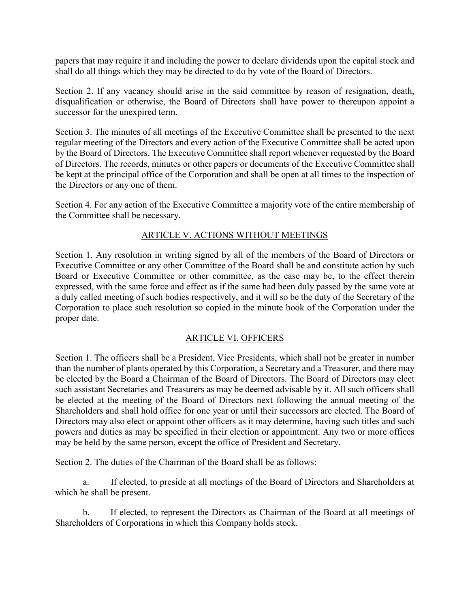papers that may require it and including the power to declare dividends upon the capital stock and shall do all things which they may be directed to do by vote of the Board of Directors.

Section 2. If any vacancy should arise in the said committee by reason of resignation, death, disqualification or otherwise, the Board of Directors shall have power to thereupon appoint a successor for the unexpired term.

Section 3. The minutes of all meetings of the Executive Committee shall be presented to the next regular meeting of the Directors and every action of the Executive Committee shall be acted upon by the Board of Directors. The Executive Committee shall report whenever requested by the Board of Directors. The records, minutes or other papers or documents of the Executive Committee shall be kept at the principal office of the Corporation and shall be open at all times to the inspection of the Directors or any one of them.

Section 4. For any action of the Executive Committee a majority vote of the entire membership of the Committee shall be necessary.

## ARTICLE V. ACTIONS WITHOUT MEETINGS

Section 1. Any resolution in writing signed by all of the members of the Board of Directors or Executive Committee or any other Committee of the Board shall be and constitute action by such Board or Executive Committee or other committee, as the case may be, to the effect therein expressed, with the same force and effect as if the same had been duly passed by the same vote at a duly called meeting of such bodies respectively, and it will so be the duty of the Secretary of the Corporation to place such resolution so copied in the minute book of the Corporation under the proper date.

## ARTICLE VI. OFFICERS

Section 1. The officers shall be a President, Vice Presidents, which shall not be greater in number than the number of plants operated by this Corporation, a Secretary and a Treasurer, and there may be elected by the Board a Chairman of the Board of Directors. The Board of Directors may elect such assistant Secretaries and Treasurers as may be deemed advisable by it. All such officers shall be elected at the meeting of the Board of Directors next following the annual meeting of the Shareholders and shall hold office for one year or until their successors are elected. The Board of Directors may also elect or appoint other officers as it may determine, having such titles and such powers and duties as may be specified in their election or appointment. Any two or more offices may be held by the same person, except the office of President and Secretary.

Section 2. The duties of the Chairman of the Board shall be as follows:

a. If elected, to preside at all meetings of the Board of Directors and Shareholders at which he shall be present.

b. If elected, to represent the Directors as Chairman of the Board at all meetings of Shareholders of Corporations in which this Company holds stock.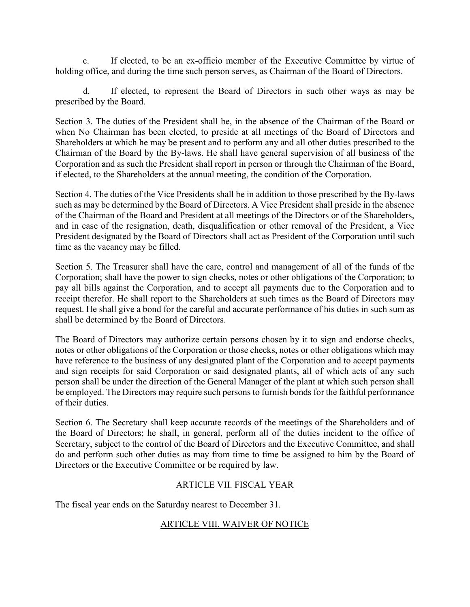c. If elected, to be an ex-officio member of the Executive Committee by virtue of holding office, and during the time such person serves, as Chairman of the Board of Directors.

d. If elected, to represent the Board of Directors in such other ways as may be prescribed by the Board.

Section 3. The duties of the President shall be, in the absence of the Chairman of the Board or when No Chairman has been elected, to preside at all meetings of the Board of Directors and Shareholders at which he may be present and to perform any and all other duties prescribed to the Chairman of the Board by the By-laws. He shall have general supervision of all business of the Corporation and as such the President shall report in person or through the Chairman of the Board, if elected, to the Shareholders at the annual meeting, the condition of the Corporation.

Section 4. The duties of the Vice Presidents shall be in addition to those prescribed by the By-laws such as may be determined by the Board of Directors. A Vice President shall preside in the absence of the Chairman of the Board and President at all meetings of the Directors or of the Shareholders, and in case of the resignation, death, disqualification or other removal of the President, a Vice President designated by the Board of Directors shall act as President of the Corporation until such time as the vacancy may be filled.

Section 5. The Treasurer shall have the care, control and management of all of the funds of the Corporation; shall have the power to sign checks, notes or other obligations of the Corporation; to pay all bills against the Corporation, and to accept all payments due to the Corporation and to receipt therefor. He shall report to the Shareholders at such times as the Board of Directors may request. He shall give a bond for the careful and accurate performance of his duties in such sum as shall be determined by the Board of Directors.

The Board of Directors may authorize certain persons chosen by it to sign and endorse checks, notes or other obligations of the Corporation or those checks, notes or other obligations which may have reference to the business of any designated plant of the Corporation and to accept payments and sign receipts for said Corporation or said designated plants, all of which acts of any such person shall be under the direction of the General Manager of the plant at which such person shall be employed. The Directors may require such persons to furnish bonds for the faithful performance of their duties.

Section 6. The Secretary shall keep accurate records of the meetings of the Shareholders and of the Board of Directors; he shall, in general, perform all of the duties incident to the office of Secretary, subject to the control of the Board of Directors and the Executive Committee, and shall do and perform such other duties as may from time to time be assigned to him by the Board of Directors or the Executive Committee or be required by law.

## ARTICLE VII. FISCAL YEAR

The fiscal year ends on the Saturday nearest to December 31.

# ARTICLE VIII. WAIVER OF NOTICE